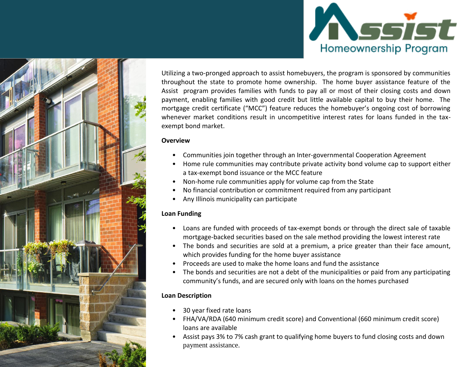



Utilizing a two-pronged approach to assist homebuyers, the program is sponsored by communities throughout the state to promote home ownership. The home buyer assistance feature of the Assist program provides families with funds to pay all or most of their closing costs and down payment, enabling families with good credit but little available capital to buy their home. The mortgage credit certificate ("MCC") feature reduces the homebuyer's ongoing cost of borrowing whenever market conditions result in uncompetitive interest rates for loans funded in the taxexempt bond market.

#### **Overview**

- Communities join together through an Inter-governmental Cooperation Agreement
- Home rule communities may contribute private activity bond volume cap to support either a tax-exempt bond issuance or the MCC feature
- Non-home rule communities apply for volume cap from the State
- No financial contribution or commitment required from any participant
- Any Illinois municipality can participate

#### **Loan Funding**

- Loans are funded with proceeds of tax-exempt bonds or through the direct sale of taxable mortgage-backed securities based on the sale method providing the lowest interest rate
- The bonds and securities are sold at a premium, a price greater than their face amount, which provides funding for the home buyer assistance
- Proceeds are used to make the home loans and fund the assistance
- The bonds and securities are not a debt of the municipalities or paid from any participating community's funds, and are secured only with loans on the homes purchased

#### **Loan Description**

- 30 year fixed rate loans
- FHA/VA/RDA (640 minimum credit score) and Conventional (660 minimum credit score) loans are available
- Assist pays 3% to 7% cash grant to qualifying home buyers to fund closing costs and down payment assistance.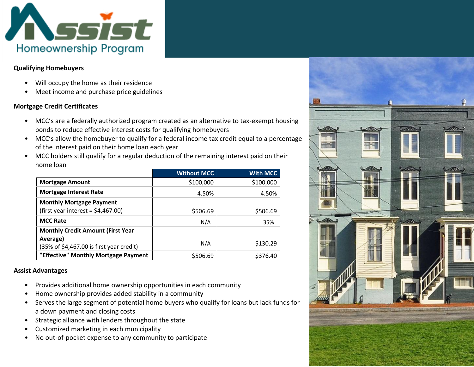

#### **Qualifying Homebuyers**

- Will occupy the home as their residence
- Meet income and purchase price guidelines

#### **Mortgage Credit Certificates**

- MCC's are a federally authorized program created as an alternative to tax-exempt housing bonds to reduce effective interest costs for qualifying homebuyers
- MCC's allow the homebuyer to qualify for a federal income tax credit equal to a percentage of the interest paid on their home loan each year
- MCC holders still qualify for a regular deduction of the remaining interest paid on their home loan

|                                                                                                  | <b>Without MCC</b> | <b>With MCC</b> |
|--------------------------------------------------------------------------------------------------|--------------------|-----------------|
| <b>Mortgage Amount</b>                                                                           | \$100,000          | \$100,000       |
| <b>Mortgage Interest Rate</b>                                                                    | 4.50%              | 4.50%           |
| <b>Monthly Mortgage Payment</b><br>(first year interest = $$4,467.00$ )                          | \$506.69           | \$506.69        |
| <b>MCC Rate</b>                                                                                  | N/A                | 35%             |
| <b>Monthly Credit Amount (First Year</b><br>Average)<br>(35% of \$4,467.00 is first year credit) | N/A                | \$130.29        |
| "Effective" Monthly Mortgage Payment                                                             | \$506.69           | \$376.40        |

#### **Assist Advantages**

- Provides additional home ownership opportunities in each community
- Home ownership provides added stability in a community
- Serves the large segment of potential home buyers who qualify for loans but lack funds for a down payment and closing costs
- Strategic alliance with lenders throughout the state
- Customized marketing in each municipality
- No out-of-pocket expense to any community to participate

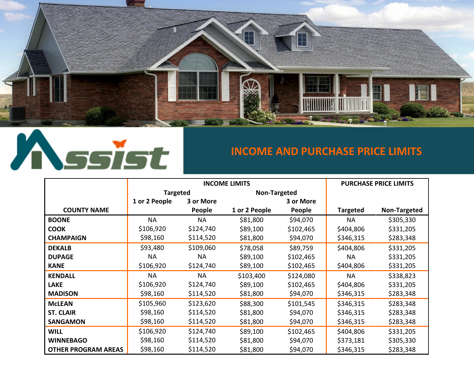



## **INCOME AND PURCHASE PRICE LIMITS**

|                            |                 | <b>INCOME LIMITS</b> | <b>PURCHASE PRICE LIMITS</b> |           |                 |              |
|----------------------------|-----------------|----------------------|------------------------------|-----------|-----------------|--------------|
|                            | <b>Targeted</b> |                      | Non-Targeted                 |           |                 |              |
|                            | 1 or 2 People   | 3 or More            |                              | 3 or More |                 |              |
| <b>COUNTY NAME</b>         |                 | People               | 1 or 2 People                | People    | <b>Targeted</b> | Non-Targeted |
| <b>BOONE</b>               | <b>NA</b>       | <b>NA</b>            | \$81,800                     | \$94,070  | <b>NA</b>       | \$305,330    |
| <b>COOK</b>                | \$106,920       | \$124,740            | \$89,100                     | \$102,465 | \$404,806       | \$331,205    |
| <b>CHAMPAIGN</b>           | \$98,160        | \$114,520            | \$81,800                     | \$94,070  | \$346,315       | \$283,348    |
| <b>DEKALB</b>              | \$93,480        | \$109,060            | \$78,058                     | \$89,759  | \$404,806       | \$331,205    |
| <b>DUPAGE</b>              | <b>NA</b>       | <b>NA</b>            | \$89,100                     | \$102,465 | <b>NA</b>       | \$331,205    |
| <b>KANE</b>                | \$106,920       | \$124,740            | \$89,100                     | \$102,465 | \$404,806       | \$331,205    |
| <b>KENDALL</b>             | <b>NA</b>       | <b>NA</b>            | \$103,400                    | \$124,080 | <b>NA</b>       | \$338,823    |
| <b>LAKE</b>                | \$106,920       | \$124,740            | \$89,100                     | \$102,465 | \$404,806       | \$331,205    |
| <b>MADISON</b>             | \$98,160        | \$114,520            | \$81,800                     | \$94,070  | \$346,315       | \$283,348    |
| <b>McLEAN</b>              | \$105,960       | \$123,620            | \$88,300                     | \$101,545 | \$346,315       | \$283,348    |
| <b>ST. CLAIR</b>           | \$98,160        | \$114,520            | \$81,800                     | \$94,070  | \$346,315       | \$283,348    |
| <b>SANGAMON</b>            | \$98,160        | \$114,520            | \$81,800                     | \$94,070  | \$346,315       | \$283,348    |
| <b>WILL</b>                | \$106,920       | \$124,740            | \$89,100                     | \$102,465 | \$404,806       | \$331,205    |
| <b>WINNEBAGO</b>           | \$98,160        | \$114,520            | \$81,800                     | \$94,070  | \$373,181       | \$305,330    |
| <b>OTHER PROGRAM AREAS</b> | \$98,160        | \$114,520            | \$81,800                     | \$94,070  | \$346,315       | \$283,348    |